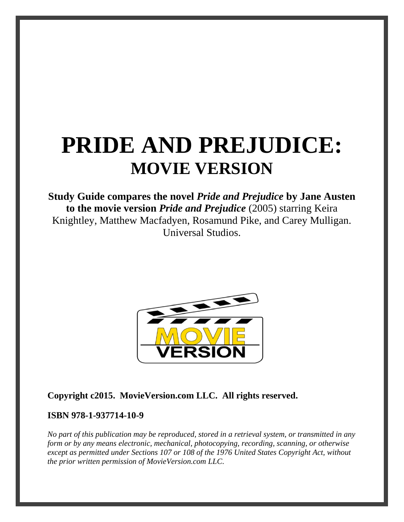# **PRIDE AND PREJUDICE: MOVIE VERSION**

**Study Guide compares the novel** *Pride and Prejudice* **by Jane Austen to the movie version** *Pride and Prejudice* (2005) starring Keira Knightley, Matthew Macfadyen, Rosamund Pike, and Carey Mulligan. Universal Studios.



**Copyright c2015. MovieVersion.com LLC. All rights reserved.** 

#### **ISBN 978-1-937714-10-9**

*No part of this publication may be reproduced, stored in a retrieval system, or transmitted in any form or by any means electronic, mechanical, photocopying, recording, scanning, or otherwise except as permitted under Sections 107 or 108 of the 1976 United States Copyright Act, without the prior written permission of MovieVersion.com LLC.*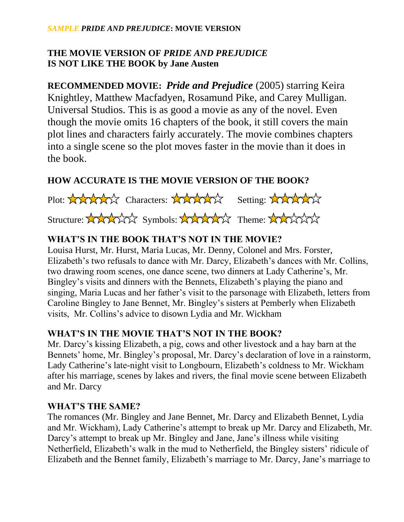#### *SAMPLE PRIDE AND PREJUDICE***: MOVIE VERSION**

# **THE MOVIE VERSION OF** *PRIDE AND PREJUDICE* **IS NOT LIKE THE BOOK by Jane Austen**

**RECOMMENDED MOVIE:** *Pride and Prejudice* (2005) starring Keira Knightley, Matthew Macfadyen, Rosamund Pike, and Carey Mulligan. Universal Studios. This is as good a movie as any of the novel. Even though the movie omits 16 chapters of the book, it still covers the main plot lines and characters fairly accurately. The movie combines chapters into a single scene so the plot moves faster in the movie than it does in the book.

### **HOW ACCURATE IS THE MOVIE VERSION OF THE BOOK?**

Plot: XXXXXX Characters: XXXXXX Setting: XXXXXX Structure: XXXXXX Symbols: XXXXXX Theme: XXXXXX

# **WHAT'S IN THE BOOK THAT'S NOT IN THE MOVIE?**

Louisa Hurst, Mr. Hurst, Maria Lucas, Mr. Denny, Colonel and Mrs. Forster, Elizabeth's two refusals to dance with Mr. Darcy, Elizabeth's dances with Mr. Collins, two drawing room scenes, one dance scene, two dinners at Lady Catherine's, Mr. Bingley's visits and dinners with the Bennets, Elizabeth's playing the piano and singing, Maria Lucas and her father's visit to the parsonage with Elizabeth, letters from Caroline Bingley to Jane Bennet, Mr. Bingley's sisters at Pemberly when Elizabeth visits, Mr. Collins's advice to disown Lydia and Mr. Wickham

#### **WHAT'S IN THE MOVIE THAT'S NOT IN THE BOOK?**

Mr. Darcy's kissing Elizabeth, a pig, cows and other livestock and a hay barn at the Bennets' home, Mr. Bingley's proposal, Mr. Darcy's declaration of love in a rainstorm, Lady Catherine's late-night visit to Longbourn, Elizabeth's coldness to Mr. Wickham after his marriage, scenes by lakes and rivers, the final movie scene between Elizabeth and Mr. Darcy

#### **WHAT'S THE SAME?**

The romances (Mr. Bingley and Jane Bennet, Mr. Darcy and Elizabeth Bennet, Lydia and Mr. Wickham), Lady Catherine's attempt to break up Mr. Darcy and Elizabeth, Mr. Darcy's attempt to break up Mr. Bingley and Jane, Jane's illness while visiting Netherfield, Elizabeth's walk in the mud to Netherfield, the Bingley sisters' ridicule of Elizabeth and the Bennet family, Elizabeth's marriage to Mr. Darcy, Jane's marriage to